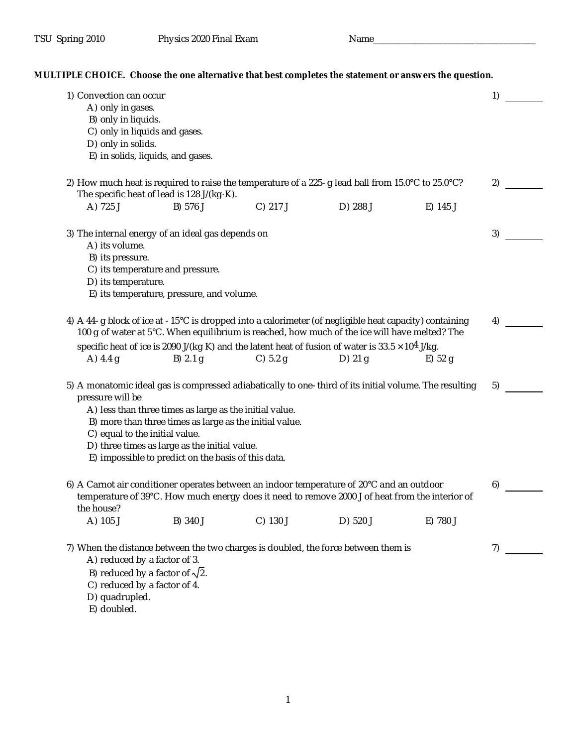TSU Spring 2010 Physics 2020 Final Exam Name **MULTIPLE CHOICE. Choose the one alternative that best completes the statement or answers the question.** 1) Convection can occur and the set of the set of the set of the set of the set of the set of the set of the set of the set of the set of the set of the set of the set of the set of the set of the set of the set of the set A) only in gases. B) only in liquids. C) only in liquids and gases. D) only in solids. E) in solids, liquids, and gases. 2) How much heat is required to raise the temperature of a 225-g lead ball from 15.0°C to 25.0°C? The specific heat of lead is 128 J/(kg·K). 2) A) 725 J B) 576 J C) 217 J D) 288 J E) 145 J 3) The internal energy of an ideal gas depends on 3 A) its volume. B) its pressure. C) its temperature and pressure. D) its temperature. E) its temperature, pressure, and volume. 4) A 44-g block of ice at -15°C is dropped into a calorimeter (of negligible heat capacity) containing 100 g of water at 5°C. When equilibrium is reached, how much of the ice will have melted? The A 44-g block of ice at -15°C is dropped into a calorimeter (of negligible heat capacity) containing 4)  $\overline{ }$  100 g of water at 5°C. When equilibrium is reached, how much of the ice will have melted? The specific heat of A) 4.4 g B) 2.1 g C) 5.2 g D) 21 g E) 52 g 5) A monatomic ideal gas is compressed adiabatically to one-third of its initial volume. The resulting pressure will be 5) A) less than three times as large as the initial value. B) more than three times as large as the initial value. C) equal to the initial value. D) three times as large as the initial value. E) impossible to predict on the basis of this data. 6) A Carnot air conditioner operates between an indoor temperature of 20°C and an outdoor temperature of 39°C. How much energy does it need to remove 2000 J of heat from the interior of A Carnot air conditioner operates between an indoor temperature of 20°C and an outdoor  $\,$  6)<br>temperature of 39°C. How much energy does it need to remove 2000 J of heat from the interior of<br>the house? A ) 105 J B) 340 J C ) 130 J D ) 520 J E) 780 J

7) When the distance between the two charges is doubled, the force between them is  $7$ 

A) reduced by a factor of 3.

- B) reduced by a factor of  $\sqrt{2}$ .
- C) reduced by a factor of 4.
- D) quadrupled.

E) doubled.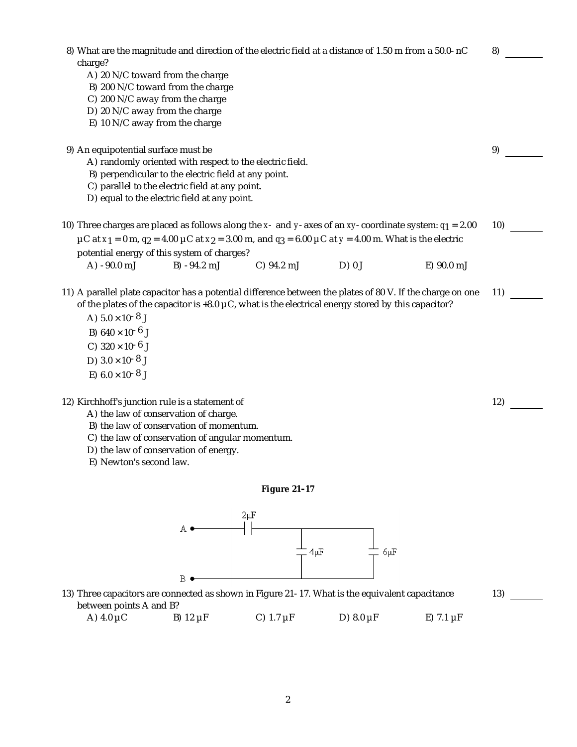| 8) What are the magnitude and direction of the electric field at a distance of 1.50 m from a 50.0-nC<br>charge?<br>A) 20 N/C toward from the charge<br>B) 200 N/C toward from the charge<br>C) 200 N/C away from the charge<br>D) 20 N/C away from the charge<br>E) 10 N/C away from the charge                                                                         |                |                |                |                   | 8)  |
|-------------------------------------------------------------------------------------------------------------------------------------------------------------------------------------------------------------------------------------------------------------------------------------------------------------------------------------------------------------------------|----------------|----------------|----------------|-------------------|-----|
| 9) An equipotential surface must be<br>A) randomly oriented with respect to the electric field.<br>B) perpendicular to the electric field at any point.<br>C) parallel to the electric field at any point.<br>D) equal to the electric field at any point.                                                                                                              |                |                |                |                   | 9)  |
| 10) Three charges are placed as follows along the x- and y-axes of an xy-coordinate system: $q_1 = 2.00$<br>µC at x <sub>1</sub> = 0 m, $q_2$ = 4.00 µC at x <sub>2</sub> = 3.00 m, and $q_3$ = 6.00 µC at y = 4.00 m. What is the electric                                                                                                                             |                |                |                |                   | 10) |
| potential energy of this system of charges?<br>A) -90.0 mJ                                                                                                                                                                                                                                                                                                              | $B) -94.2$ mJ  | C) 94.2 mJ     | D) 0J          | E) 90.0 mJ        |     |
| 11) A parallel plate capacitor has a potential difference between the plates of 80 V. If the charge on one<br>of the plates of the capacitor is $+8.0 \mu C$ , what is the electrical energy stored by this capacitor?<br>A) $5.0 \times 10^{-8}$ J<br>B) $640 \times 10^{-6}$ J<br>C) $320 \times 10^{-6}$ J<br>D) $3.0 \times 10^{-8}$ J<br>E) $6.0 \times 10^{-8}$ J |                |                |                |                   | 11) |
| 12) Kirchhoff's junction rule is a statement of<br>A) the law of conservation of charge.<br>B) the law of conservation of momentum.<br>C) the law of conservation of angular momentum.<br>D) the law of conservation of energy.<br>E) Newton's second law.                                                                                                              |                |                |                |                   | 12) |
|                                                                                                                                                                                                                                                                                                                                                                         |                | Figure 21-17   |                |                   |     |
|                                                                                                                                                                                                                                                                                                                                                                         | $2 \mu F$<br>В | 4µF            | $6 \mu F$      |                   |     |
| 13) Three capacitors are connected as shown in Figure 21-17. What is the equivalent capacitance<br>between points A and B?<br>A) $4.0 \mu C$                                                                                                                                                                                                                            | B) $12 \mu F$  | C) $1.7 \mu F$ | D) $8.0 \mu F$ | $E$ ) 7.1 $\mu$ F | 13) |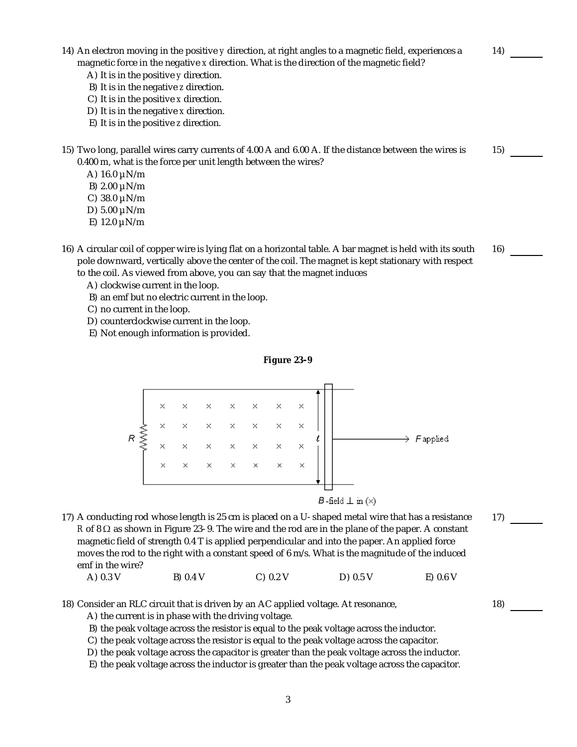- 14) An electron moving in the positive *y* direction, at right angles to a magnetic field, experiences a An electron moving in the positive *y* direction, at right angles to a magnetic field, experiences a 14) \_\_\_\_\_\_<br>magnetic force in the negative *x* direction. What is the direction of the magnetic field? A ) It is in the positive *y* direction. B) It is in the negative *z* direction. C ) It is in the positive *x* direction. D) It is in the negative *x* direction. E) It is in the positive *z* direction. 15) Two long, parallel wires carry currents of 4.00 A and 6.00 A. If the distance between the wires is 15)<br>0.400 m, what is the force per unit length between the wires?
	- - A)  $16.0 \mu N/m$
		- B) 2.00 µN/m
		- C)  $38.0 \mu N/m$
		- D $) 5.00 \mu N/m$
		- E) 12.0 µN/m
- 16) A circular coil of copper wire is lying flat on a horizontal table. A bar magnet is held with its south pole downward, vertically above the center of the coil. The magnet is kept stationary with respect A circular coil of copper wire is lying flat on a horizontal table. A bar magnet is held with its south 16)<br>pole downward, vertically above the center of the coil. The magnet is kept stationary with respect<br>to the coil.
	- A) clockwise current in the loop.
	- B) an emf but no electric current in the loop.
	- C) no current in the loop.
	- D) counterclockwise current in the loop.
	- E) Not enough information is provided.





*B*-field  $\perp$  in  $(\times)$ 

17) A conducting rod whose length is 25 cm is placed on a U-shaped metal wire that has a resistance *R* of 8  $\Omega$  as shown in Figure 23-9. The wire and the rod are in the plane of the paper. A constant magnetic field of strength 0.4 T is applied perpendicular and into the paper. An applied force moves the rod to the right with a constant speed of 6 m/s. What is the magnitude of the induced A conducting rod whose length is 25 cm is placed on a U-shaped metal wire that has a resistance  $R$  of 8  $\Omega$  as shown in Figure 23-9. The wire and the rod are in the plane of the paper. A constant magnetic field of stren

| A) 0.3 V | B) 0.4 V | C) 0.2 V | $D)$ 0.5 V | $E)$ 0.6 V |
|----------|----------|----------|------------|------------|
|----------|----------|----------|------------|------------|

18) Consider an RLC circuit that is driven by an AC applied voltage. At resonance, 18)

A) the current is in phase with the driving voltage.

- B) the peak voltage across the resistor is equal to the peak voltage across the inductor.
- C) the peak voltage across the resistor is equal to the peak voltage across the capacitor.
- D ) the peak voltage across the capacitor is greater than the peak voltage across the inductor.
- E) the peak voltage across the inductor is greater than the peak voltage across the capacitor.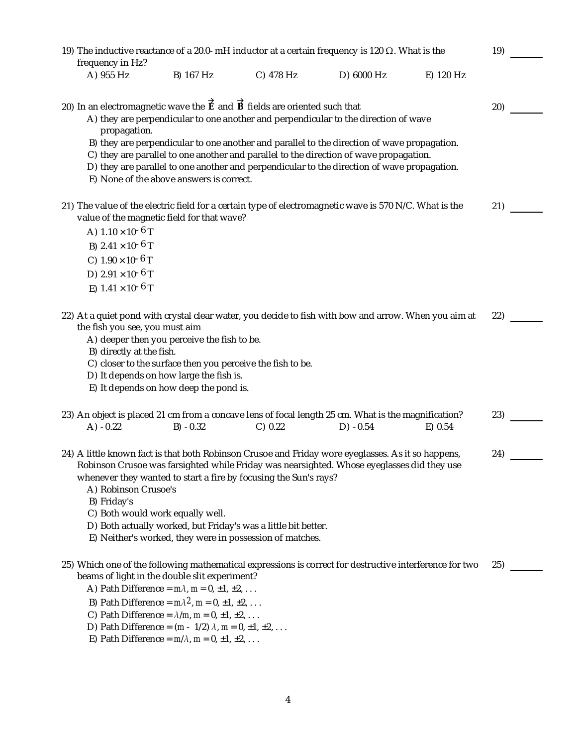| 19) The inductive reactance of a 20.0-mH inductor at a certain frequency is 120 $\Omega$ . What is the<br>frequency in Hz? |                                                                                                                                                    |                                                                                                                                                                                                                                                                                                                                                                                                     |                                                                                                                                                                                                |                                                                                                                                                                                                                                                                                      |           | 19) |  |
|----------------------------------------------------------------------------------------------------------------------------|----------------------------------------------------------------------------------------------------------------------------------------------------|-----------------------------------------------------------------------------------------------------------------------------------------------------------------------------------------------------------------------------------------------------------------------------------------------------------------------------------------------------------------------------------------------------|------------------------------------------------------------------------------------------------------------------------------------------------------------------------------------------------|--------------------------------------------------------------------------------------------------------------------------------------------------------------------------------------------------------------------------------------------------------------------------------------|-----------|-----|--|
| A) 955 Hz                                                                                                                  |                                                                                                                                                    | B) 167 Hz                                                                                                                                                                                                                                                                                                                                                                                           | C) 478 Hz                                                                                                                                                                                      | D) 6000 Hz                                                                                                                                                                                                                                                                           | E) 120 Hz |     |  |
|                                                                                                                            |                                                                                                                                                    |                                                                                                                                                                                                                                                                                                                                                                                                     | 20) In an electromagnetic wave the $\overrightarrow{E}$ and $\overrightarrow{B}$ fields are oriented such that                                                                                 | A) they are perpendicular to one another and perpendicular to the direction of wave                                                                                                                                                                                                  |           | 20) |  |
|                                                                                                                            | propagation.                                                                                                                                       | E) None of the above answers is correct.                                                                                                                                                                                                                                                                                                                                                            |                                                                                                                                                                                                | B) they are perpendicular to one another and parallel to the direction of wave propagation.<br>C) they are parallel to one another and parallel to the direction of wave propagation.<br>D) they are parallel to one another and perpendicular to the direction of wave propagation. |           |     |  |
|                                                                                                                            | A) $1.10 \times 10^{-6}$ T<br>B) $2.41 \times 10^{-6}$ T<br>C) $1.90 \times 10^{-6}$ T<br>D) $2.91 \times 10^{-6}$ T<br>E) $1.41 \times 10^{-6}$ T | value of the magnetic field for that wave?                                                                                                                                                                                                                                                                                                                                                          |                                                                                                                                                                                                | 21) The value of the electric field for a certain type of electromagnetic wave is 570 N/C. What is the                                                                                                                                                                               |           | 21) |  |
|                                                                                                                            | the fish you see, you must aim<br>B) directly at the fish.                                                                                         | A) deeper then you perceive the fish to be.<br>D) It depends on how large the fish is.<br>E) It depends on how deep the pond is.                                                                                                                                                                                                                                                                    | C) closer to the surface then you perceive the fish to be.                                                                                                                                     | 22) At a quiet pond with crystal clear water, you decide to fish with bow and arrow. When you aim at                                                                                                                                                                                 |           | 22) |  |
| $A) -0.22$                                                                                                                 |                                                                                                                                                    | $B) -0.32$                                                                                                                                                                                                                                                                                                                                                                                          | C) 0.22                                                                                                                                                                                        | 23) An object is placed 21 cm from a concave lens of focal length 25 cm. What is the magnification?<br>$D) -0.54$                                                                                                                                                                    | E) 0.54   | 23) |  |
| B) Friday's                                                                                                                | A) Robinson Crusoe's                                                                                                                               | C) Both would work equally well.                                                                                                                                                                                                                                                                                                                                                                    | whenever they wanted to start a fire by focusing the Sun's rays?<br>D) Both actually worked, but Friday's was a little bit better.<br>E) Neither's worked, they were in possession of matches. | 24) A little known fact is that both Robinson Crusoe and Friday wore eyeglasses. As it so happens,<br>Robinson Crusoe was farsighted while Friday was nearsighted. Whose eyeglasses did they use                                                                                     |           | 24) |  |
|                                                                                                                            |                                                                                                                                                    | beams of light in the double slit experiment?<br>A) Path Difference = $m\lambda$ , $m = 0, \pm 1, \pm 2, \ldots$<br>B) Path Difference = $m\lambda^2$ , $m = 0, \pm 1, \pm 2, \ldots$<br>C) Path Difference = $\lambda/m$ , $m = 0$ , $\pm 1$ , $\pm 2$ ,<br>D) Path Difference = $(m - 1/2) \lambda$ , $m = 0, \pm 1, \pm 2, $<br>E) Path Difference = $m/\lambda$ , $m = 0$ , $\pm 1$ , $\pm 2$ , |                                                                                                                                                                                                | 25) Which one of the following mathematical expressions is correct for destructive interference for two                                                                                                                                                                              |           | 25) |  |